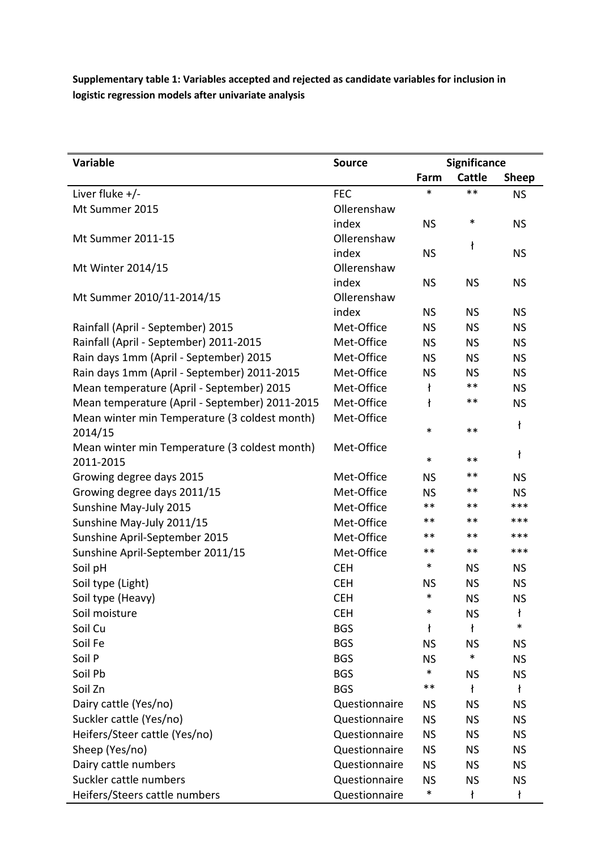**Supplementary table 1: Variables accepted and rejected as candidate variables for inclusion in logistic regression models after univariate analysis** 

| <b>Variable</b>                                | <b>Source</b> | Significance |               |              |
|------------------------------------------------|---------------|--------------|---------------|--------------|
|                                                |               | Farm         | <b>Cattle</b> | <b>Sheep</b> |
| Liver fluke $+/-$                              | <b>FEC</b>    | $\ast$       | $**$          | <b>NS</b>    |
| Mt Summer 2015                                 | Ollerenshaw   |              |               |              |
|                                                | index         | <b>NS</b>    | $\ast$        | <b>NS</b>    |
| Mt Summer 2011-15                              | Ollerenshaw   |              | ł             |              |
|                                                | index         | <b>NS</b>    |               | <b>NS</b>    |
| Mt Winter 2014/15                              | Ollerenshaw   |              |               |              |
|                                                | index         | <b>NS</b>    | <b>NS</b>     | <b>NS</b>    |
| Mt Summer 2010/11-2014/15                      | Ollerenshaw   |              |               |              |
|                                                | index         | <b>NS</b>    | <b>NS</b>     | <b>NS</b>    |
| Rainfall (April - September) 2015              | Met-Office    | <b>NS</b>    | <b>NS</b>     | <b>NS</b>    |
| Rainfall (April - September) 2011-2015         | Met-Office    | <b>NS</b>    | <b>NS</b>     | <b>NS</b>    |
| Rain days 1mm (April - September) 2015         | Met-Office    | <b>NS</b>    | <b>NS</b>     | <b>NS</b>    |
| Rain days 1mm (April - September) 2011-2015    | Met-Office    | <b>NS</b>    | <b>NS</b>     | <b>NS</b>    |
| Mean temperature (April - September) 2015      | Met-Office    | ł            | $***$         | <b>NS</b>    |
| Mean temperature (April - September) 2011-2015 | Met-Office    | ł            | $***$         | <b>NS</b>    |
| Mean winter min Temperature (3 coldest month)  | Met-Office    |              |               | ł            |
| 2014/15                                        |               | $\ast$       | $***$         |              |
| Mean winter min Temperature (3 coldest month)  | Met-Office    |              |               | ł            |
| 2011-2015                                      |               | $\ast$       | $***$         |              |
| Growing degree days 2015                       | Met-Office    | <b>NS</b>    | $***$         | <b>NS</b>    |
| Growing degree days 2011/15                    | Met-Office    | <b>NS</b>    | $***$         | <b>NS</b>    |
| Sunshine May-July 2015                         | Met-Office    | **           | $***$         | ***          |
| Sunshine May-July 2011/15                      | Met-Office    | **           | **            | ***          |
| Sunshine April-September 2015                  | Met-Office    | **           | $***$         | ***          |
| Sunshine April-September 2011/15               | Met-Office    | **           | $***$         | ***          |
| Soil pH                                        | <b>CEH</b>    | $\ast$       | <b>NS</b>     | <b>NS</b>    |
| Soil type (Light)                              | <b>CEH</b>    | <b>NS</b>    | <b>NS</b>     | <b>NS</b>    |
| Soil type (Heavy)                              | <b>CEH</b>    | $\ast$       | <b>NS</b>     | <b>NS</b>    |
| Soil moisture                                  | <b>CEH</b>    | *            | <b>NS</b>     | ł            |
| Soil Cu                                        | <b>BGS</b>    | ł            | ł             | $\ast$       |
| Soil Fe                                        | <b>BGS</b>    | <b>NS</b>    | <b>NS</b>     | <b>NS</b>    |
| Soil P                                         | <b>BGS</b>    | <b>NS</b>    | $\ast$        | <b>NS</b>    |
| Soil Pb                                        | <b>BGS</b>    | $\ast$       | <b>NS</b>     | <b>NS</b>    |
| Soil Zn                                        | <b>BGS</b>    | **           | ł             | ł            |
| Dairy cattle (Yes/no)                          | Questionnaire | <b>NS</b>    | <b>NS</b>     | <b>NS</b>    |
| Suckler cattle (Yes/no)                        | Questionnaire | <b>NS</b>    | <b>NS</b>     | <b>NS</b>    |
| Heifers/Steer cattle (Yes/no)                  | Questionnaire | <b>NS</b>    | <b>NS</b>     | <b>NS</b>    |
| Sheep (Yes/no)                                 | Questionnaire | <b>NS</b>    | <b>NS</b>     | <b>NS</b>    |
| Dairy cattle numbers                           | Questionnaire | <b>NS</b>    | <b>NS</b>     | <b>NS</b>    |
| Suckler cattle numbers                         | Questionnaire | <b>NS</b>    | <b>NS</b>     | <b>NS</b>    |
| Heifers/Steers cattle numbers                  | Questionnaire | $\ast$       | ł             | ł            |